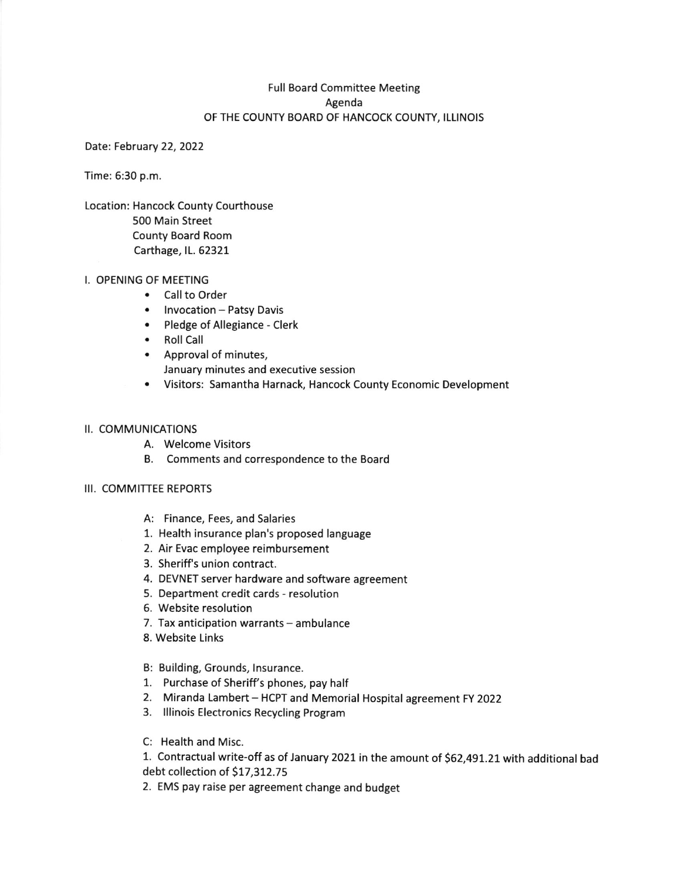### Full Board Committee Meeting Agenda OF THE COUNTY BOARD OF HANCOCK COUNTY, ILLINOIS

Date: February 22, 2022

Time: 6:30 p.m.

Location: Hancock County Courthouse 500 Main Street County Board Room Carthage, IL. 62321

### I. OPENING OF MEETING

- Call to Order
- Invocation Patsy Davis
- Pledge of Allegiance Clerk
- . Roll Call
- ' Approval of minutes, January minutes and executive session
- . Visitors: Samantha Harnack, Hancock County Economic Development

### II. COMMUNICATIONS

- A. Welcome Visitors
- B. Comments and correspondence to the Board

#### III. COMMITTEE REPORTS

- A: Finance, Fees, and Salaries
- 1. Health insurance plan's proposed language
- 2. Air Evac employee reimbursement
- 3. Sheriffls union contract.
- 4. DEVNET server hardware and software agreement
- 5. Department credit cards resolution
- 6. Website resolution
- 7. Tax anticipation warrants ambulance
- 8. Website Links
- B: Building, Grounds, Insurance.
- 1. Purchase of Sheriff's phones, pay half
- 2. Miranda Lambert HCPT and Memorial Hospital agreement FY 2022
- 3. Illinois Electronics Recycling Program
- C: Health and Misc.

1. Contractual write-off as of January 2021 in the amount of \$62,491.21 with additional bad debt collection of \$17,312.75

2. EMS pay raise per agreement change and budget